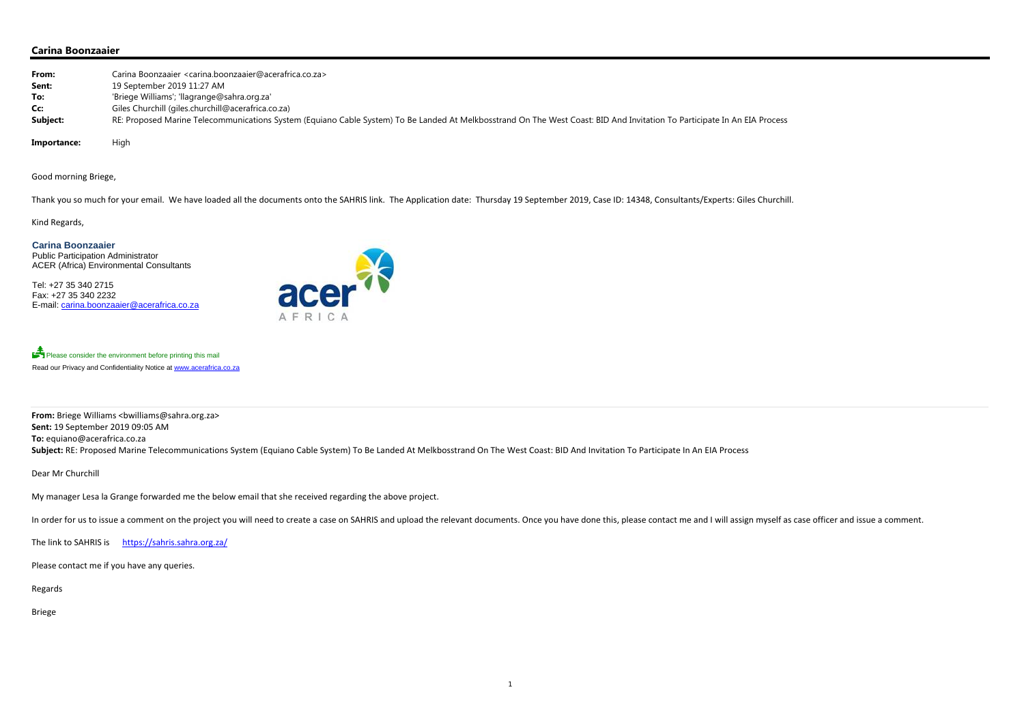## **Carina Boonzaaier**

| From:    | Carina Boonzaaier <carina.boonzaaier@acerafrica.co.za></carina.boonzaaier@acerafrica.co.za>                                                                               |
|----------|---------------------------------------------------------------------------------------------------------------------------------------------------------------------------|
| Sent:    | 19 September 2019 11:27 AM                                                                                                                                                |
| To:      | 'Briege Williams'; 'llagrange@sahra.org.za'                                                                                                                               |
| Cc:      | Giles Churchill (giles.churchill@acerafrica.co.za)                                                                                                                        |
| Subject: | RE: Proposed Marine Telecommunications System (Equiano Cable System) To Be Landed At Melkbosstrand On The West Coast: BID And Invitation To Participate In An EIA Process |
|          |                                                                                                                                                                           |

Importance: High

Good morning Briege,

**From:** Briege Williams <bwilliams@sahra.org.za> **Sent:** 19 September 2019 09:05 AM **To:** equiano@acerafrica.co.za Subject: RE: Proposed Marine Telecommunications System (Equiano Cable System) To Be Landed At Melkbosstrand On The West Coast: BID And Invitation To Participate In An EIA Process

Thank you so much for your email. We have loaded all the documents onto the SAHRIS link. The Application date: Thursday 19 September 2019, Case ID: 14348, Consultants/Experts: Giles Churchill.

Kind Regards,

**Carina Boonzaaier**  Public Participation Administrator ACER (Africa) Environmental Consultants

Tel: +27 35 340 2715 Fax: +27 35 340 2232 E-mail: carina.boonzaaier@acerafrica.co.za



Please consider the environment before printing this mail Read our Privacy and Confidentiality Notice at www.acerafrica.co.za

Dear Mr Churchill

My manager Lesa la Grange forwarded me the below email that she received regarding the above project.

In order for us to issue a comment on the project you will need to create a case on SAHRIS and upload the relevant documents. Once you have done this, please contact me and I will assign myself as case officer and issue a

1

The link to SAHRIS is https://sahris.sahra.org.za/

Please contact me if you have any queries.

Regards

Briege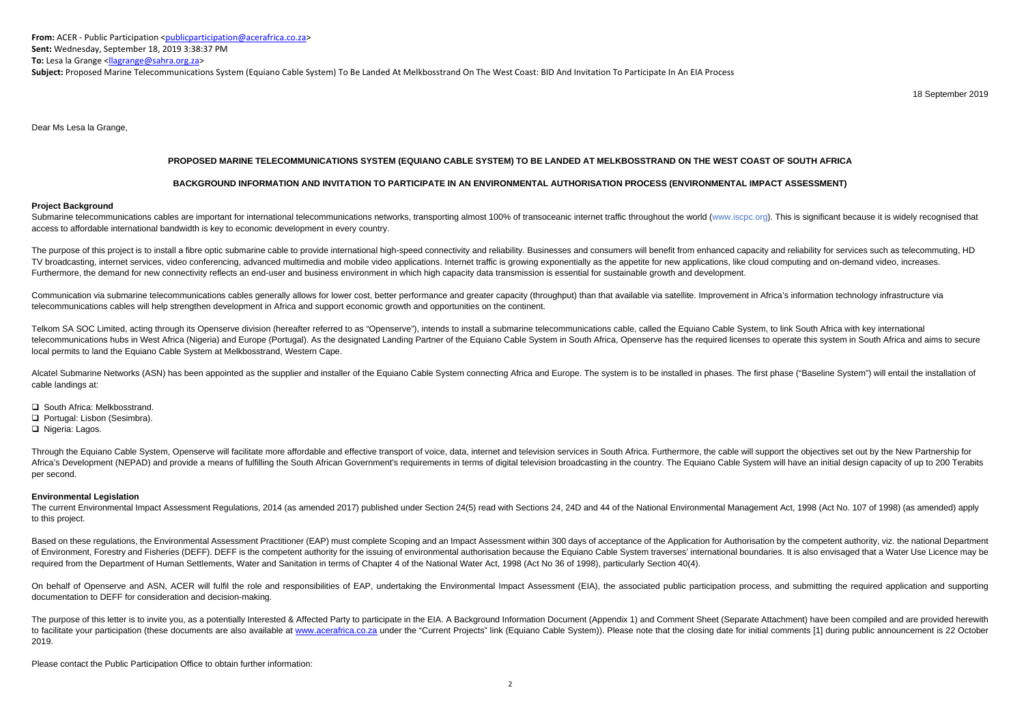**From:** ACER ‐ Public Participation <publicparticipation@acerafrica.co.za> **Sent:** Wednesday, September 18, 2019 3:38:37 PM **To:** Lesa la Grange <<u>llagrange@sahra.org.za</u>>

**Subject:** Proposed Marine Telecommunications System (Equiano Cable System) To Be Landed At Melkbosstrand On The West Coast: BID And Invitation To Participate In An EIA Process

18 September 2019

Dear Ms Lesa la Grange,

# **PROPOSED MARINE TELECOMMUNICATIONS SYSTEM (EQUIANO CABLE SYSTEM) TO BE LANDED AT MELKBOSSTRAND ON THE WEST COAST OF SOUTH AFRICA**

Submarine telecommunications cables are important for international telecommunications networks, transporting almost 100% of transoceanic internet traffic throughout the world (www.iscpc.org). This is significant because i access to affordable international bandwidth is key to economic development in every country.

## **BACKGROUND INFORMATION AND INVITATION TO PARTICIPATE IN AN ENVIRONMENTAL AUTHORISATION PROCESS (ENVIRONMENTAL IMPACT ASSESSMENT)**

#### **Project Background**

The purpose of this project is to install a fibre optic submarine cable to provide international high-speed connectivity and reliability. Businesses and consumers will benefit from enhanced capacity and reliability for ser TV broadcasting, internet services, video conferencing, advanced multimedia and mobile video applications. Internet traffic is growing exponentially as the appetite for new applications, like cloud computing and on-demand Furthermore, the demand for new connectivity reflects an end-user and business environment in which high capacity data transmission is essential for sustainable growth and development.

Communication via submarine telecommunications cables generally allows for lower cost, better performance and greater capacity (throughput) than that available via satellite. Improvement in Africa's information technology telecommunications cables will help strengthen development in Africa and support economic growth and opportunities on the continent.

Telkom SA SOC Limited, acting through its Openserve division (hereafter referred to as "Openserve"), intends to install a submarine telecommunications cable, called the Equiano Cable System, to link South Africa with key i telecommunications hubs in West Africa (Nigeria) and Europe (Portugal). As the designated Landing Partner of the Equiano Cable System in South Africa. Openserve has the required licenses to operate this system in South Afr local permits to land the Equiano Cable System at Melkbosstrand, Western Cape.

Alcatel Submarine Networks (ASN) has been appointed as the supplier and installer of the Equiano Cable System connecting Africa and Europe. The system is to be installed in phases. The first phase ("Baseline System") will cable landings at:

- **□** South Africa: Melkbosstrand.
- Portugal: Lisbon (Sesimbra).

□ Nigeria: Lagos.

Through the Equiano Cable System, Openserve will facilitate more affordable and effective transport of voice, data, internet and television services in South Africa. Furthermore, the cable will support the objectives set o Africa's Development (NEPAD) and provide a means of fulfilling the South African Government's requirements in terms of digital television broadcasting in the country. The Equiano Cable System will have an initial design ca per second.

The current Environmental Impact Assessment Regulations, 2014 (as amended 2017) published under Section 24(5) read with Sections 24, 24D and 44 of the National Environmental Management Act, 1998 (Act No. 107 of 1998) (as a to this project.

Based on these regulations, the Environmental Assessment Practitioner (EAP) must complete Scoping and an Impact Assessment within 300 days of acceptance of the Application for Authorisation by the competent authority, viz. of Environment. Forestry and Fisheries (DEFF). DEFF is the competent authority for the issuing of environmental authorisation because the Equiano Cable System traverses' international boundaries. It is also envisaged that required from the Department of Human Settlements, Water and Sanitation in terms of Chapter 4 of the National Water Act, 1998 (Act No 36 of 1998), particularly Section 40(4).

On behalf of Openserve and ASN, ACER will fulfil the role and responsibilities of EAP, undertaking the Environmental Impact Assessment (EIA), the associated public participation process, and submitting the required applica documentation to DEFF for consideration and decision-making.

The purpose of this letter is to invite you, as a potentially Interested & Affected Party to participate in the EIA. A Background Information Document (Appendix 1) and Comment Sheet (Separate Attachment) have been compiled to facilitate your participation (these documents are also available at www.acerafrica.co.za under the "Current Projects" link (Equiano Cable System)). Please note that the closing date for initial comments [1] during publ 2019.

### **Environmental Legislation**

Please contact the Public Participation Office to obtain further information: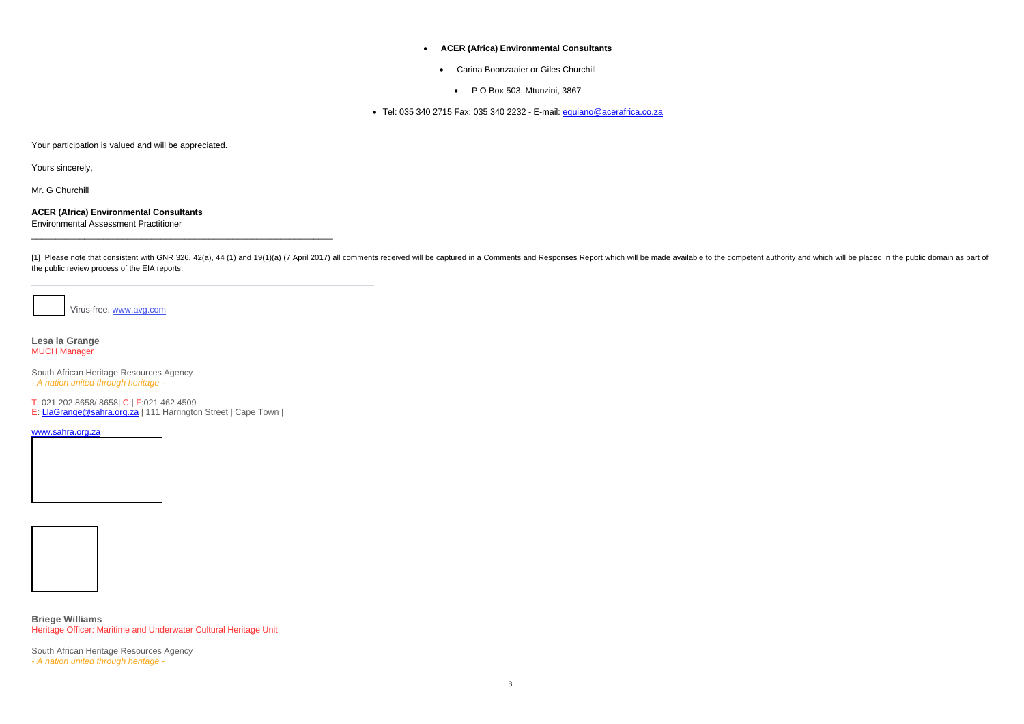### **ACER (Africa) Environmental Consultants**

- Carina Boonzaaier or Giles Churchill
	- P O Box 503, Mtunzini, 3867

● Tel: 035 340 2715 Fax: 035 340 2232 - E-mail: <u>equiano@acerafrica.co.za</u>

Your participation is valued and will be appreciated.

Yours sincerely,

Mr. G Churchill

## **ACER (Africa) Environmental Consultants**  Environmental Assessment Practitioner

[1] Please note that consistent with GNR 326, 42(a), 44 (1) and 19(1)(a) (7 April 2017) all comments received will be captured in a Comments and Responses Report which will be made available to the competent authority and the public review process of the EIA reports.

Virus-free. www.avg.com

#### **Lesa la Grange** MUCH Manager

South African Heritage Resources Agency *- A nation united through heritage -*

T: 021 202 8658/ 8658| C:| F:021 462 4509

E: LlaGrange@sahra.org.za | 111 Harrington Street | Cape Town |

#### www.sahra.org.za





**Briege Williams** Heritage Officer: Maritime and Underwater Cultural Heritage Unit

South African Heritage Resources Agency *- A nation united through heritage -*